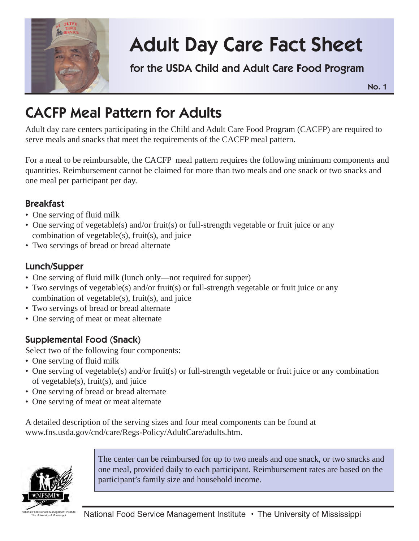

# **Adult Day Care Fact Sheet**

**for the USDA Child and Adult Care Food Program**

**No. 1**

## **CACFP Meal Pattern for Adults**

Adult day care centers participating in the Child and Adult Care Food Program (CACFP) are required to serve meals and snacks that meet the requirements of the CACFP meal pattern.

For a meal to be reimbursable, the CACFP meal pattern requires the following minimum components and quantities. Reimbursement cannot be claimed for more than two meals and one snack or two snacks and one meal per participant per day.

### **Breakfast**

- One serving of fluid milk
- One serving of vegetable(s) and/or fruit(s) or full-strength vegetable or fruit juice or any combination of vegetable(s), fruit(s), and juice
- Two servings of bread or bread alternate

### **Lunch/Supper**

- One serving of fluid milk (lunch only—not required for supper)
- Two servings of vegetable(s) and/or fruit(s) or full-strength vegetable or fruit juice or any combination of vegetable(s), fruit(s), and juice
- Two servings of bread or bread alternate
- One serving of meat or meat alternate

### **Supplemental Food (Snack)**

Select two of the following four components:

- One serving of fluid milk
- One serving of vegetable(s) and/or fruit(s) or full-strength vegetable or fruit juice or any combination of vegetable(s), fruit(s), and juice
- One serving of bread or bread alternate
- One serving of meat or meat alternate

A detailed description of the serving sizes and four meal components can be found at www.fns.usda.gov/cnd/care/Regs-Policy/AdultCare/adults.htm.



The center can be reimbursed for up to two meals and one snack, or two snacks and one meal, provided daily to each participant. Reimbursement rates are based on the participant's family size and household income.